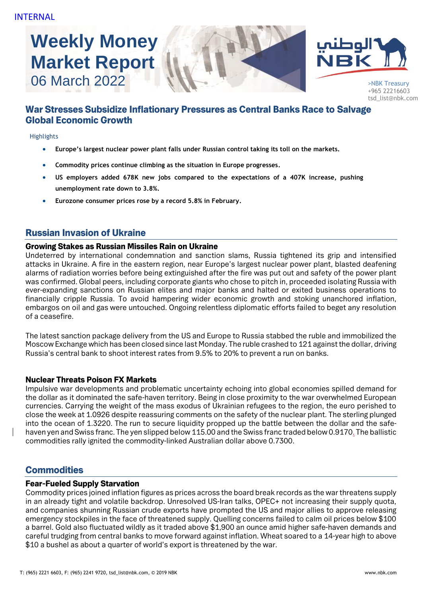# **Weekly Money Market Report**





+965 22216603 tsd\_list@nbk.com

# War Stresses Subsidize Inflationary Pressures as Central Banks Race to Salvage Global Economic Growth

#### Highlights

- **Europe's largest nuclear power plant falls under Russian control taking its toll on the markets.**
- **Commodity prices continue climbing as the situation in Europe progresses.**
- **US employers added 678K new jobs compared to the expectations of a 407K increase, pushing unemployment rate down to 3.8%.**
- **Eurozone consumer prices rose by a record 5.8% in February.**

## Russian Invasion of Ukraine

#### Growing Stakes as Russian Missiles Rain on Ukraine

Undeterred by international condemnation and sanction slams, Russia tightened its grip and intensified attacks in Ukraine. A fire in the eastern region, near Europe's largest nuclear power plant, blasted deafening alarms of radiation worries before being extinguished after the fire was put out and safety of the power plant was confirmed. Global peers, including corporate giants who chose to pitch in, proceeded isolating Russia with ever-expanding sanctions on Russian elites and major banks and halted or exited business operations to financially cripple Russia. To avoid hampering wider economic growth and stoking unanchored inflation, embargos on oil and gas were untouched. Ongoing relentless diplomatic efforts failed to beget any resolution of a ceasefire.

The latest sanction package delivery from the US and Europe to Russia stabbed the ruble and immobilized the Moscow Exchange which has been closed since last Monday. The ruble crashed to 121 against the dollar, driving Russia's central bank to shoot interest rates from 9.5% to 20% to prevent a run on banks.

#### Nuclear Threats Poison FX Markets

Impulsive war developments and problematic uncertainty echoing into global economies spilled demand for the dollar as it dominated the safe-haven territory. Being in close proximity to the war overwhelmed European currencies. Carrying the weight of the mass exodus of Ukrainian refugees to the region, the euro perished to close the week at 1.0926 despite reassuring comments on the safety of the nuclear plant. The sterling plunged into the ocean of 1.3220. The run to secure liquidity propped up the battle between the dollar and the safehaven yen and Swiss franc. The yen slipped below 115.00 and the Swiss franc traded below 0.9170. The ballistic commodities rally ignited the commodity-linked Australian dollar above 0.7300.

## **Commodities**

#### Fear-Fueled Supply Starvation

Commodity prices joined inflation figures as prices across the board break records as the war threatens supply in an already tight and volatile backdrop. Unresolved US-Iran talks, OPEC+ not increasing their supply quota, and companies shunning Russian crude exports have prompted the US and major allies to approve releasing emergency stockpiles in the face of threatened supply. Quelling concerns failed to calm oil prices below \$100 a barrel. Gold also fluctuated wildly as it traded above \$1,900 an ounce amid higher safe-haven demands and careful trudging from central banks to move forward against inflation. Wheat soared to a 14-year high to above \$10 a bushel as about a quarter of world's export is threatened by the war.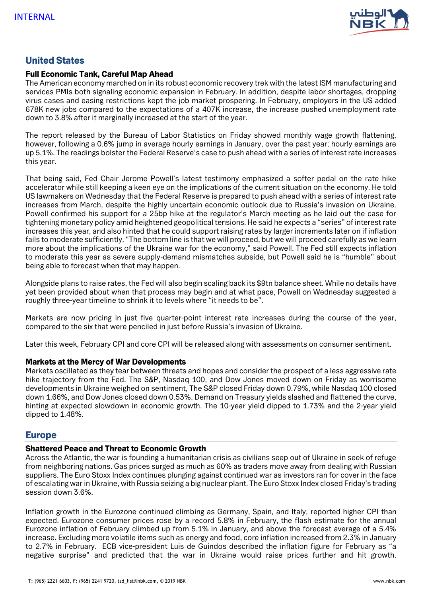

## United States

#### Full Economic Tank, Careful Map Ahead

The American economy marched on in its robust economic recovery trek with the latest ISM manufacturing and services PMIs both signaling economic expansion in February. In addition, despite labor shortages, dropping virus cases and easing restrictions kept the job market prospering. In February, employers in the US added 678K new jobs compared to the expectations of a 407K increase, the increase pushed unemployment rate down to 3.8% after it marginally increased at the start of the year.

The report released by the Bureau of Labor Statistics on Friday showed monthly wage growth flattening, however, following a 0.6% jump in average hourly earnings in January, over the past year; hourly earnings are up 5.1%. The readings bolster the Federal Reserve's case to push ahead with a series of interest rate increases this year.

That being said, Fed Chair Jerome Powell's latest testimony emphasized a softer pedal on the rate hike accelerator while still keeping a keen eye on the implications of the current situation on the economy. He told US lawmakers on Wednesday that the Federal Reserve is prepared to push ahead with a series of interest rate increases from March, despite the highly uncertain economic outlook due to Russia's invasion on Ukraine. Powell confirmed his support for a 25bp hike at the regulator's March meeting as he laid out the case for tightening monetary policy amid heightened geopolitical tensions. He said he expects a "series" of interest rate increases this year, and also hinted that he could support raising rates by larger increments later on if inflation fails to moderate sufficiently. "The bottom line is that we will proceed, but we will proceed carefully as we learn more about the implications of the Ukraine war for the economy," said Powell. The Fed still expects inflation to moderate this year as severe supply-demand mismatches subside, but Powell said he is "humble" about being able to forecast when that may happen.

Alongside plans to raise rates, the Fed will also begin scaling back its \$9tn balance sheet. While no details have yet been provided about when that process may begin and at what pace, Powell on Wednesday suggested a roughly three-year timeline to shrink it to levels where "it needs to be".

Markets are now pricing in just five quarter-point interest rate increases during the course of the year, compared to the six that were penciled in just before Russia's invasion of Ukraine.

Later this week, February CPI and core CPI will be released along with assessments on consumer sentiment.

#### Markets at the Mercy of War Developments

Markets oscillated as they tear between threats and hopes and consider the prospect of a less aggressive rate hike trajectory from the Fed. The S&P, Nasdaq 100, and Dow Jones moved down on Friday as worrisome developments in Ukraine weighed on sentiment, The S&P closed Friday down 0.79%, while Nasdaq 100 closed down 1.66%, and Dow Jones closed down 0.53%. Demand on Treasury yields slashed and flattened the curve, hinting at expected slowdown in economic growth. The 10-year yield dipped to 1.73% and the 2-year yield dipped to 1.48%.

## Europe

#### Shattered Peace and Threat to Economic Growth

Across the Atlantic, the war is founding a humanitarian crisis as civilians seep out of Ukraine in seek of refuge from neighboring nations. Gas prices surged as much as 60% as traders move away from dealing with Russian suppliers. The Euro Stoxx Index continues plunging against continued war as investors ran for cover in the face of escalating war in Ukraine, with Russia seizing a big nuclear plant. The Euro Stoxx Index closed Friday's trading session down 3.6%.

Inflation growth in the Eurozone continued climbing as Germany, Spain, and Italy, reported higher CPI than expected. Eurozone consumer prices rose by a record 5.8% in February, the flash estimate for the annual Eurozone inflation of February climbed up from 5.1% in January, and above the forecast average of a 5.4% increase. Excluding more volatile items such as energy and food, core inflation increased from 2.3% in January to 2.7% in February. ECB vice-president Luis de Guindos described the inflation figure for February as "a negative surprise" and predicted that the war in Ukraine would raise prices further and hit growth.